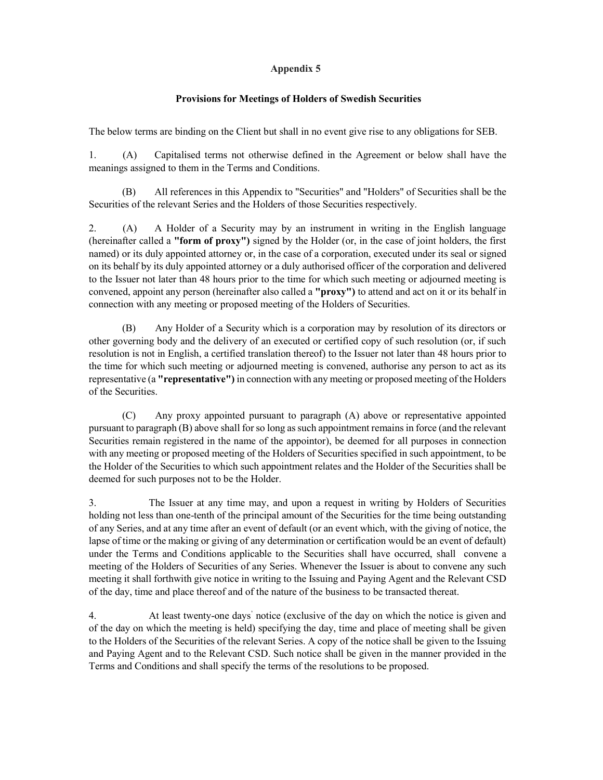## Appendix 5

## Provisions for Meetings of Holders of Swedish Securities

The below terms are binding on the Client but shall in no event give rise to any obligations for SEB.

1. (A) Capitalised terms not otherwise defined in the Agreement or below shall have the meanings assigned to them in the Terms and Conditions.

(B) All references in this Appendix to "Securities" and "Holders" of Securities shall be the Securities of the relevant Series and the Holders of those Securities respectively.

2. (A) A Holder of a Security may by an instrument in writing in the English language (hereinafter called a "form of proxy") signed by the Holder (or, in the case of joint holders, the first named) or its duly appointed attorney or, in the case of a corporation, executed under its seal or signed on its behalf by its duly appointed attorney or a duly authorised officer of the corporation and delivered to the Issuer not later than 48 hours prior to the time for which such meeting or adjourned meeting is convened, appoint any person (hereinafter also called a "proxy") to attend and act on it or its behalf in connection with any meeting or proposed meeting of the Holders of Securities.

(B) Any Holder of a Security which is a corporation may by resolution of its directors or other governing body and the delivery of an executed or certified copy of such resolution (or, if such resolution is not in English, a certified translation thereof) to the Issuer not later than 48 hours prior to the time for which such meeting or adjourned meeting is convened, authorise any person to act as its representative (a **"representative")** in connection with any meeting or proposed meeting of the Holders of the Securities.

(C) Any proxy appointed pursuant to paragraph (A) above or representative appointed pursuant to paragraph (B) above shall for so long as such appointment remains in force (and the relevant Securities remain registered in the name of the appointor), be deemed for all purposes in connection with any meeting or proposed meeting of the Holders of Securities specified in such appointment, to be the Holder of the Securities to which such appointment relates and the Holder of the Securities shall be deemed for such purposes not to be the Holder.

3. The Issuer at any time may, and upon a request in writing by Holders of Securities holding not less than one-tenth of the principal amount of the Securities for the time being outstanding of any Series, and at any time after an event of default (or an event which, with the giving of notice, the lapse of time or the making or giving of any determination or certification would be an event of default) under the Terms and Conditions applicable to the Securities shall have occurred, shall convene a meeting of the Holders of Securities of any Series. Whenever the Issuer is about to convene any such meeting it shall forthwith give notice in writing to the Issuing and Paying Agent and the Relevant CSD of the day, time and place thereof and of the nature of the business to be transacted thereat.

4. At least twenty-one days notice (exclusive of the day on which the notice is given and of the day on which the meeting is held) specifying the day, time and place of meeting shall be given to the Holders of the Securities of the relevant Series. A copy of the notice shall be given to the Issuing and Paying Agent and to the Relevant CSD. Such notice shall be given in the manner provided in the Terms and Conditions and shall specify the terms of the resolutions to be proposed.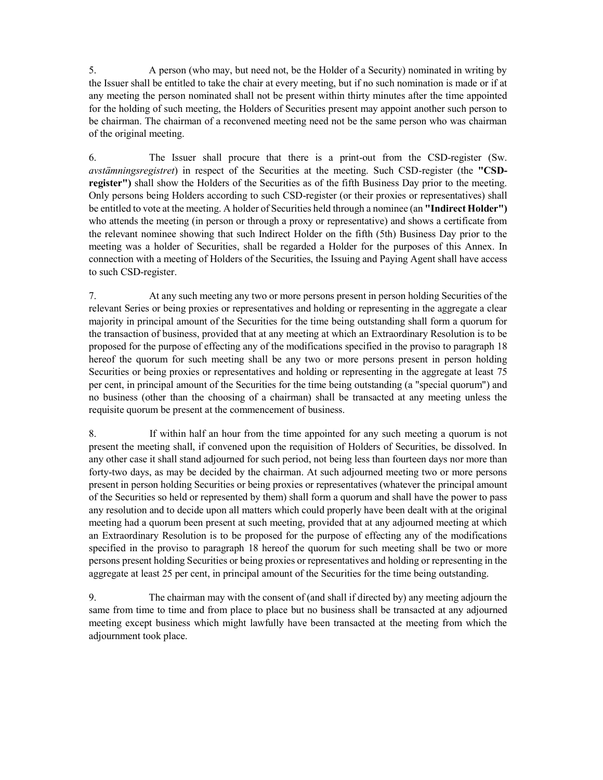5. A person (who may, but need not, be the Holder of a Security) nominated in writing by the Issuer shall be entitled to take the chair at every meeting, but if no such nomination is made or if at any meeting the person nominated shall not be present within thirty minutes after the time appointed for the holding of such meeting, the Holders of Securities present may appoint another such person to be chairman. The chairman of a reconvened meeting need not be the same person who was chairman of the original meeting.

6. The Issuer shall procure that there is a print-out from the CSD-register (Sw. avstämningsregistret) in respect of the Securities at the meeting. Such CSD-register (the "CSDregister") shall show the Holders of the Securities as of the fifth Business Day prior to the meeting. Only persons being Holders according to such CSD-register (or their proxies or representatives) shall be entitled to vote at the meeting. A holder of Securities held through a nominee (an "Indirect Holder") who attends the meeting (in person or through a proxy or representative) and shows a certificate from the relevant nominee showing that such Indirect Holder on the fifth (5th) Business Day prior to the meeting was a holder of Securities, shall be regarded a Holder for the purposes of this Annex. In connection with a meeting of Holders of the Securities, the Issuing and Paying Agent shall have access to such CSD-register.

7. At any such meeting any two or more persons present in person holding Securities of the relevant Series or being proxies or representatives and holding or representing in the aggregate a clear majority in principal amount of the Securities for the time being outstanding shall form a quorum for the transaction of business, provided that at any meeting at which an Extraordinary Resolution is to be proposed for the purpose of effecting any of the modifications specified in the proviso to paragraph 18 hereof the quorum for such meeting shall be any two or more persons present in person holding Securities or being proxies or representatives and holding or representing in the aggregate at least 75 per cent, in principal amount of the Securities for the time being outstanding (a "special quorum") and no business (other than the choosing of a chairman) shall be transacted at any meeting unless the requisite quorum be present at the commencement of business.

8. If within half an hour from the time appointed for any such meeting a quorum is not present the meeting shall, if convened upon the requisition of Holders of Securities, be dissolved. In any other case it shall stand adjourned for such period, not being less than fourteen days nor more than forty-two days, as may be decided by the chairman. At such adjourned meeting two or more persons present in person holding Securities or being proxies or representatives (whatever the principal amount of the Securities so held or represented by them) shall form a quorum and shall have the power to pass any resolution and to decide upon all matters which could properly have been dealt with at the original meeting had a quorum been present at such meeting, provided that at any adjourned meeting at which an Extraordinary Resolution is to be proposed for the purpose of effecting any of the modifications specified in the proviso to paragraph 18 hereof the quorum for such meeting shall be two or more persons present holding Securities or being proxies or representatives and holding or representing in the aggregate at least 25 per cent, in principal amount of the Securities for the time being outstanding.

9. The chairman may with the consent of (and shall if directed by) any meeting adjourn the same from time to time and from place to place but no business shall be transacted at any adjourned meeting except business which might lawfully have been transacted at the meeting from which the adjournment took place.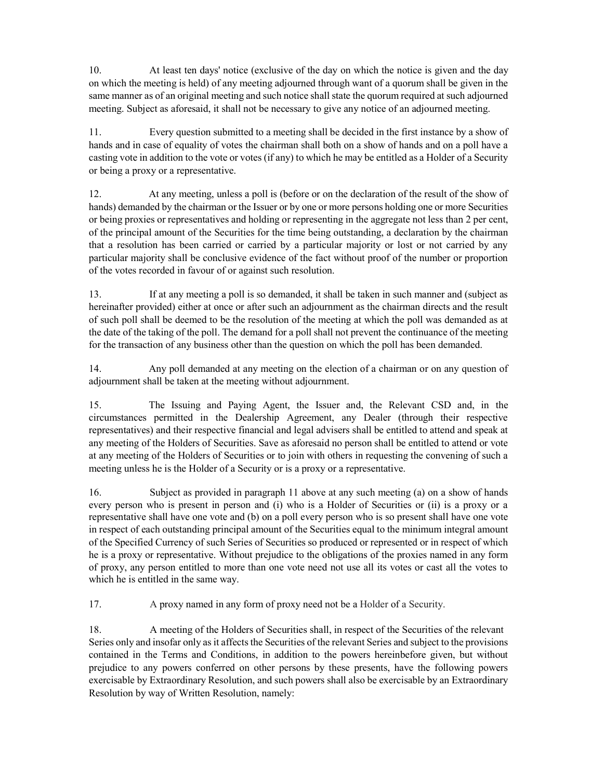10. At least ten days' notice (exclusive of the day on which the notice is given and the day on which the meeting is held) of any meeting adjourned through want of a quorum shall be given in the same manner as of an original meeting and such notice shall state the quorum required at such adjourned meeting. Subject as aforesaid, it shall not be necessary to give any notice of an adjourned meeting.

11. Every question submitted to a meeting shall be decided in the first instance by a show of hands and in case of equality of votes the chairman shall both on a show of hands and on a poll have a casting vote in addition to the vote or votes (if any) to which he may be entitled as a Holder of a Security or being a proxy or a representative.

12. At any meeting, unless a poll is (before or on the declaration of the result of the show of hands) demanded by the chairman or the Issuer or by one or more persons holding one or more Securities or being proxies or representatives and holding or representing in the aggregate not less than 2 per cent, of the principal amount of the Securities for the time being outstanding, a declaration by the chairman that a resolution has been carried or carried by a particular majority or lost or not carried by any particular majority shall be conclusive evidence of the fact without proof of the number or proportion of the votes recorded in favour of or against such resolution.

13. If at any meeting a poll is so demanded, it shall be taken in such manner and (subject as hereinafter provided) either at once or after such an adjournment as the chairman directs and the result of such poll shall be deemed to be the resolution of the meeting at which the poll was demanded as at the date of the taking of the poll. The demand for a poll shall not prevent the continuance of the meeting for the transaction of any business other than the question on which the poll has been demanded.

14. Any poll demanded at any meeting on the election of a chairman or on any question of adjournment shall be taken at the meeting without adjournment.

15. The Issuing and Paying Agent, the Issuer and, the Relevant CSD and, in the circumstances permitted in the Dealership Agreement, any Dealer (through their respective representatives) and their respective financial and legal advisers shall be entitled to attend and speak at any meeting of the Holders of Securities. Save as aforesaid no person shall be entitled to attend or vote at any meeting of the Holders of Securities or to join with others in requesting the convening of such a meeting unless he is the Holder of a Security or is a proxy or a representative.

16. Subject as provided in paragraph 11 above at any such meeting (a) on a show of hands every person who is present in person and (i) who is a Holder of Securities or (ii) is a proxy or a representative shall have one vote and (b) on a poll every person who is so present shall have one vote in respect of each outstanding principal amount of the Securities equal to the minimum integral amount of the Specified Currency of such Series of Securities so produced or represented or in respect of which he is a proxy or representative. Without prejudice to the obligations of the proxies named in any form of proxy, any person entitled to more than one vote need not use all its votes or cast all the votes to which he is entitled in the same way.

17. A proxy named in any form of proxy need not be a Holder of a Security.

18. A meeting of the Holders of Securities shall, in respect of the Securities of the relevant Series only and insofar only as it affects the Securities of the relevant Series and subject to the provisions contained in the Terms and Conditions, in addition to the powers hereinbefore given, but without prejudice to any powers conferred on other persons by these presents, have the following powers exercisable by Extraordinary Resolution, and such powers shall also be exercisable by an Extraordinary Resolution by way of Written Resolution, namely: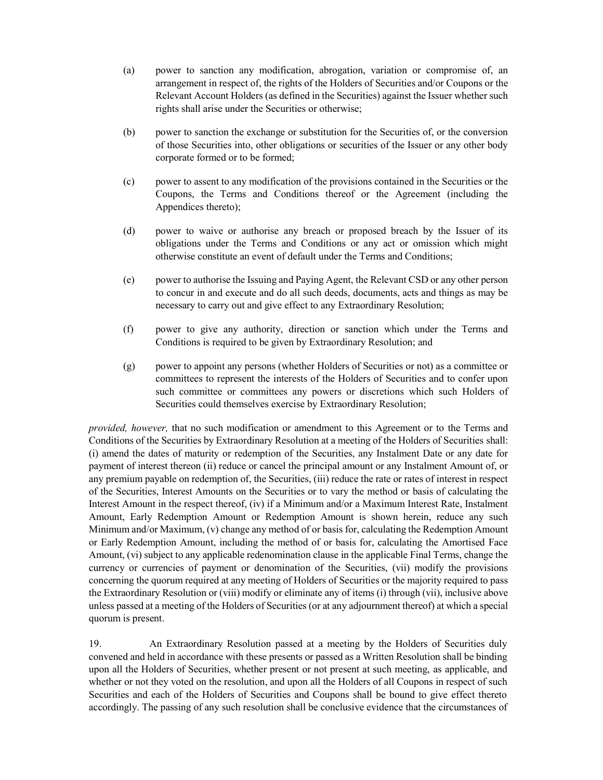- (a) power to sanction any modification, abrogation, variation or compromise of, an arrangement in respect of, the rights of the Holders of Securities and/or Coupons or the Relevant Account Holders (as defined in the Securities) against the Issuer whether such rights shall arise under the Securities or otherwise;
- (b) power to sanction the exchange or substitution for the Securities of, or the conversion of those Securities into, other obligations or securities of the Issuer or any other body corporate formed or to be formed;
- (c) power to assent to any modification of the provisions contained in the Securities or the Coupons, the Terms and Conditions thereof or the Agreement (including the Appendices thereto);
- (d) power to waive or authorise any breach or proposed breach by the Issuer of its obligations under the Terms and Conditions or any act or omission which might otherwise constitute an event of default under the Terms and Conditions;
- (e) power to authorise the Issuing and Paying Agent, the Relevant CSD or any other person to concur in and execute and do all such deeds, documents, acts and things as may be necessary to carry out and give effect to any Extraordinary Resolution;
- (f) power to give any authority, direction or sanction which under the Terms and Conditions is required to be given by Extraordinary Resolution; and
- (g) power to appoint any persons (whether Holders of Securities or not) as a committee or committees to represent the interests of the Holders of Securities and to confer upon such committee or committees any powers or discretions which such Holders of Securities could themselves exercise by Extraordinary Resolution;

provided, however, that no such modification or amendment to this Agreement or to the Terms and Conditions of the Securities by Extraordinary Resolution at a meeting of the Holders of Securities shall: (i) amend the dates of maturity or redemption of the Securities, any Instalment Date or any date for payment of interest thereon (ii) reduce or cancel the principal amount or any Instalment Amount of, or any premium payable on redemption of, the Securities, (iii) reduce the rate or rates of interest in respect of the Securities, Interest Amounts on the Securities or to vary the method or basis of calculating the Interest Amount in the respect thereof, (iv) if a Minimum and/or a Maximum Interest Rate, Instalment Amount, Early Redemption Amount or Redemption Amount is shown herein, reduce any such Minimum and/or Maximum, (v) change any method of or basis for, calculating the Redemption Amount or Early Redemption Amount, including the method of or basis for, calculating the Amortised Face Amount, (vi) subject to any applicable redenomination clause in the applicable Final Terms, change the currency or currencies of payment or denomination of the Securities, (vii) modify the provisions concerning the quorum required at any meeting of Holders of Securities or the majority required to pass the Extraordinary Resolution or (viii) modify or eliminate any of items (i) through (vii), inclusive above unless passed at a meeting of the Holders of Securities (or at any adjournment thereof) at which a special quorum is present.

19. An Extraordinary Resolution passed at a meeting by the Holders of Securities duly convened and held in accordance with these presents or passed as a Written Resolution shall be binding upon all the Holders of Securities, whether present or not present at such meeting, as applicable, and whether or not they voted on the resolution, and upon all the Holders of all Coupons in respect of such Securities and each of the Holders of Securities and Coupons shall be bound to give effect thereto accordingly. The passing of any such resolution shall be conclusive evidence that the circumstances of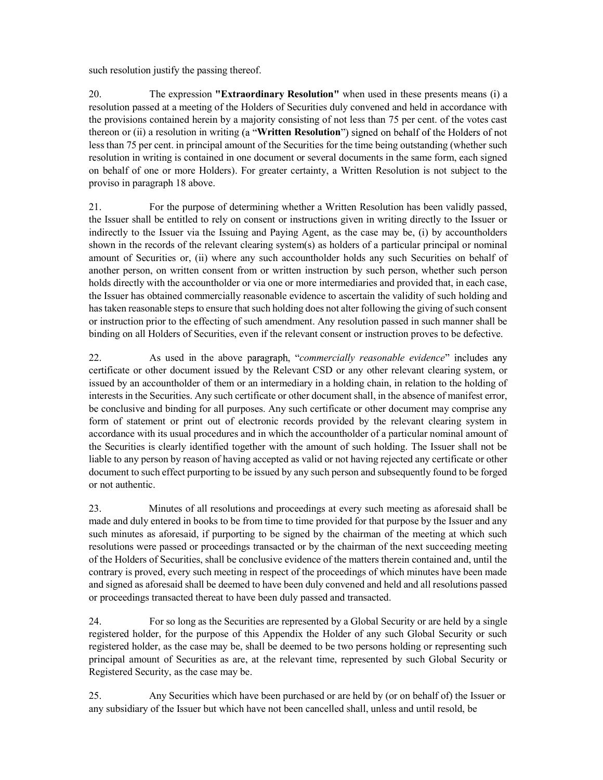such resolution justify the passing thereof.

20. The expression "Extraordinary Resolution" when used in these presents means (i) a resolution passed at a meeting of the Holders of Securities duly convened and held in accordance with the provisions contained herein by a majority consisting of not less than 75 per cent. of the votes cast thereon or (ii) a resolution in writing (a "Written Resolution") signed on behalf of the Holders of not less than 75 per cent. in principal amount of the Securities for the time being outstanding (whether such resolution in writing is contained in one document or several documents in the same form, each signed on behalf of one or more Holders). For greater certainty, a Written Resolution is not subject to the proviso in paragraph 18 above.

21. For the purpose of determining whether a Written Resolution has been validly passed, the Issuer shall be entitled to rely on consent or instructions given in writing directly to the Issuer or indirectly to the Issuer via the Issuing and Paying Agent, as the case may be, (i) by accountholders shown in the records of the relevant clearing system(s) as holders of a particular principal or nominal amount of Securities or, (ii) where any such accountholder holds any such Securities on behalf of another person, on written consent from or written instruction by such person, whether such person holds directly with the accountholder or via one or more intermediaries and provided that, in each case, the Issuer has obtained commercially reasonable evidence to ascertain the validity of such holding and has taken reasonable steps to ensure that such holding does not alter following the giving of such consent or instruction prior to the effecting of such amendment. Any resolution passed in such manner shall be binding on all Holders of Securities, even if the relevant consent or instruction proves to be defective.

22. As used in the above paragraph, "commercially reasonable evidence" includes any certificate or other document issued by the Relevant CSD or any other relevant clearing system, or issued by an accountholder of them or an intermediary in a holding chain, in relation to the holding of interests in the Securities. Any such certificate or other document shall, in the absence of manifest error, be conclusive and binding for all purposes. Any such certificate or other document may comprise any form of statement or print out of electronic records provided by the relevant clearing system in accordance with its usual procedures and in which the accountholder of a particular nominal amount of the Securities is clearly identified together with the amount of such holding. The Issuer shall not be liable to any person by reason of having accepted as valid or not having rejected any certificate or other document to such effect purporting to be issued by any such person and subsequently found to be forged or not authentic.

23. Minutes of all resolutions and proceedings at every such meeting as aforesaid shall be made and duly entered in books to be from time to time provided for that purpose by the Issuer and any such minutes as aforesaid, if purporting to be signed by the chairman of the meeting at which such resolutions were passed or proceedings transacted or by the chairman of the next succeeding meeting of the Holders of Securities, shall be conclusive evidence of the matters therein contained and, until the contrary is proved, every such meeting in respect of the proceedings of which minutes have been made and signed as aforesaid shall be deemed to have been duly convened and held and all resolutions passed or proceedings transacted thereat to have been duly passed and transacted.

24. For so long as the Securities are represented by a Global Security or are held by a single registered holder, for the purpose of this Appendix the Holder of any such Global Security or such registered holder, as the case may be, shall be deemed to be two persons holding or representing such principal amount of Securities as are, at the relevant time, represented by such Global Security or Registered Security, as the case may be.

25. Any Securities which have been purchased or are held by (or on behalf of) the Issuer or any subsidiary of the Issuer but which have not been cancelled shall, unless and until resold, be